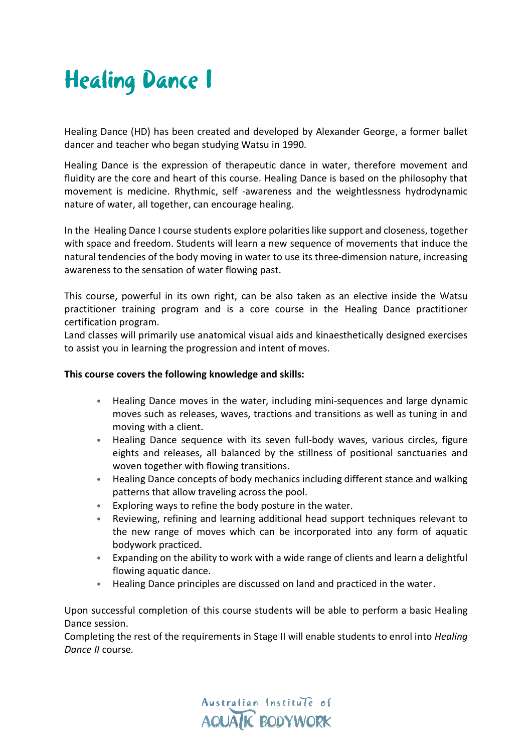

Healing Dance (HD) has been created and developed by Alexander George, a former ballet dancer and teacher who began studying Watsu in 1990.

Healing Dance is the expression of therapeutic dance in water, therefore movement and fluidity are the core and heart of this course. Healing Dance is based on the philosophy that movement is medicine. Rhythmic, self -awareness and the weightlessness hydrodynamic nature of water, all together, can encourage healing.

In the Healing Dance I course students explore polarities like support and closeness, together with space and freedom. Students will learn a new sequence of movements that induce the natural tendencies of the body moving in water to use its three-dimension nature, increasing awareness to the sensation of water flowing past.

This course, powerful in its own right, can be also taken as an elective inside the Watsu practitioner training program and is a core course in the Healing Dance practitioner certification program.

Land classes will primarily use anatomical visual aids and kinaesthetically designed exercises to assist you in learning the progression and intent of moves.

## **This course covers the following knowledge and skills:**

- Healing Dance moves in the water, including mini-sequences and large dynamic moves such as releases, waves, tractions and transitions as well as tuning in and moving with a client.
- Healing Dance sequence with its seven full-body waves, various circles, figure eights and releases, all balanced by the stillness of positional sanctuaries and woven together with flowing transitions.
- Healing Dance concepts of body mechanics including different stance and walking patterns that allow traveling across the pool.
- Exploring ways to refine the body posture in the water.
- Reviewing, refining and learning additional head support techniques relevant to the new range of moves which can be incorporated into any form of aquatic bodywork practiced.
- Expanding on the ability to work with a wide range of clients and learn a delightful flowing aquatic dance.
- Healing Dance principles are discussed on land and practiced in the water.

Upon successful completion of this course students will be able to perform a basic Healing Dance session.

Completing the rest of the requirements in Stage II will enable students to enrol into *Healing Dance II* course*.*

> Australian Institute of **AQUATIC BODYWORK**